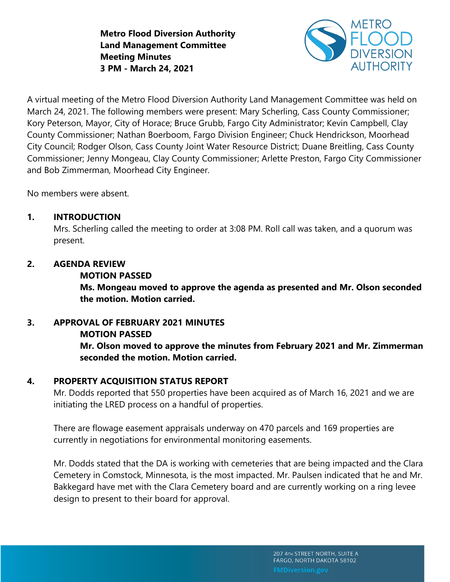**Metro Flood Diversion Authority Land Management Committee Meeting Minutes 3 PM - March 24, 2021**



A virtual meeting of the Metro Flood Diversion Authority Land Management Committee was held on March 24, 2021. The following members were present: Mary Scherling, Cass County Commissioner; Kory Peterson, Mayor, City of Horace; Bruce Grubb, Fargo City Administrator; Kevin Campbell, Clay County Commissioner; Nathan Boerboom, Fargo Division Engineer; Chuck Hendrickson, Moorhead City Council; Rodger Olson, Cass County Joint Water Resource District; Duane Breitling, Cass County Commissioner; Jenny Mongeau, Clay County Commissioner; Arlette Preston, Fargo City Commissioner and Bob Zimmerman, Moorhead City Engineer.

No members were absent.

## **1. INTRODUCTION**

Mrs. Scherling called the meeting to order at 3:08 PM. Roll call was taken, and a quorum was present.

## **2. AGENDA REVIEW**

## **MOTION PASSED**

**Ms. Mongeau moved to approve the agenda as presented and Mr. Olson seconded the motion. Motion carried.** 

# **3. APPROVAL OF FEBRUARY 2021 MINUTES**

## **MOTION PASSED**

**Mr. Olson moved to approve the minutes from February 2021 and Mr. Zimmerman seconded the motion. Motion carried.**

# **4. PROPERTY ACQUISITION STATUS REPORT**

Mr. Dodds reported that 550 properties have been acquired as of March 16, 2021 and we are initiating the LRED process on a handful of properties.

There are flowage easement appraisals underway on 470 parcels and 169 properties are currently in negotiations for environmental monitoring easements.

Mr. Dodds stated that the DA is working with cemeteries that are being impacted and the Clara Cemetery in Comstock, Minnesota, is the most impacted. Mr. Paulsen indicated that he and Mr. Bakkegard have met with the Clara Cemetery board and are currently working on a ring levee design to present to their board for approval.

> 207 4TH STREET NORTH, SUITE A FARGO, NORTH DAKOTA 58102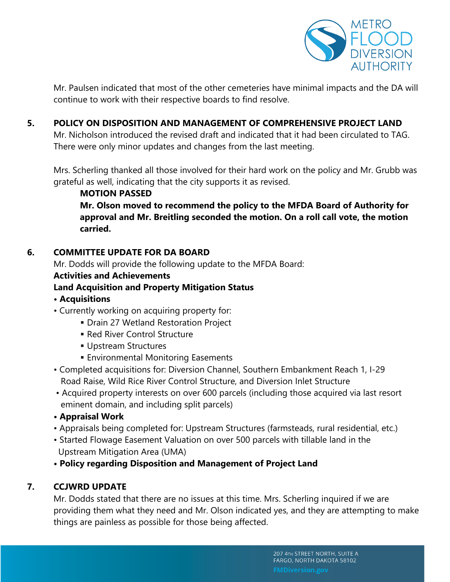

Mr. Paulsen indicated that most of the other cemeteries have minimal impacts and the DA will continue to work with their respective boards to find resolve.

## **5. POLICY ON DISPOSITION AND MANAGEMENT OF COMPREHENSIVE PROJECT LAND**

Mr. Nicholson introduced the revised draft and indicated that it had been circulated to TAG. There were only minor updates and changes from the last meeting.

Mrs. Scherling thanked all those involved for their hard work on the policy and Mr. Grubb was grateful as well, indicating that the city supports it as revised.

**MOTION PASSED Mr. Olson moved to recommend the policy to the MFDA Board of Authority for approval and Mr. Breitling seconded the motion. On a roll call vote, the motion carried.** 

#### **6. COMMITTEE UPDATE FOR DA BOARD**

Mr. Dodds will provide the following update to the MFDA Board:

#### **Activities and Achievements**

# **Land Acquisition and Property Mitigation Status**

- **Acquisitions**
- Currently working on acquiring property for:
	- **Drain 27 Wetland Restoration Project**
	- Red River Control Structure
	- **Upstream Structures**
	- **Environmental Monitoring Easements**
- Completed acquisitions for: Diversion Channel, Southern Embankment Reach 1, I-29 Road Raise, Wild Rice River Control Structure, and Diversion Inlet Structure
- Acquired property interests on over 600 parcels (including those acquired via last resort eminent domain, and including split parcels)
- **Appraisal Work**
- Appraisals being completed for: Upstream Structures (farmsteads, rural residential, etc.)
- Started Flowage Easement Valuation on over 500 parcels with tillable land in the Upstream Mitigation Area (UMA)
- **Policy regarding Disposition and Management of Project Land**

## **7. CCJWRD UPDATE**

Mr. Dodds stated that there are no issues at this time. Mrs. Scherling inquired if we are providing them what they need and Mr. Olson indicated yes, and they are attempting to make things are painless as possible for those being affected.